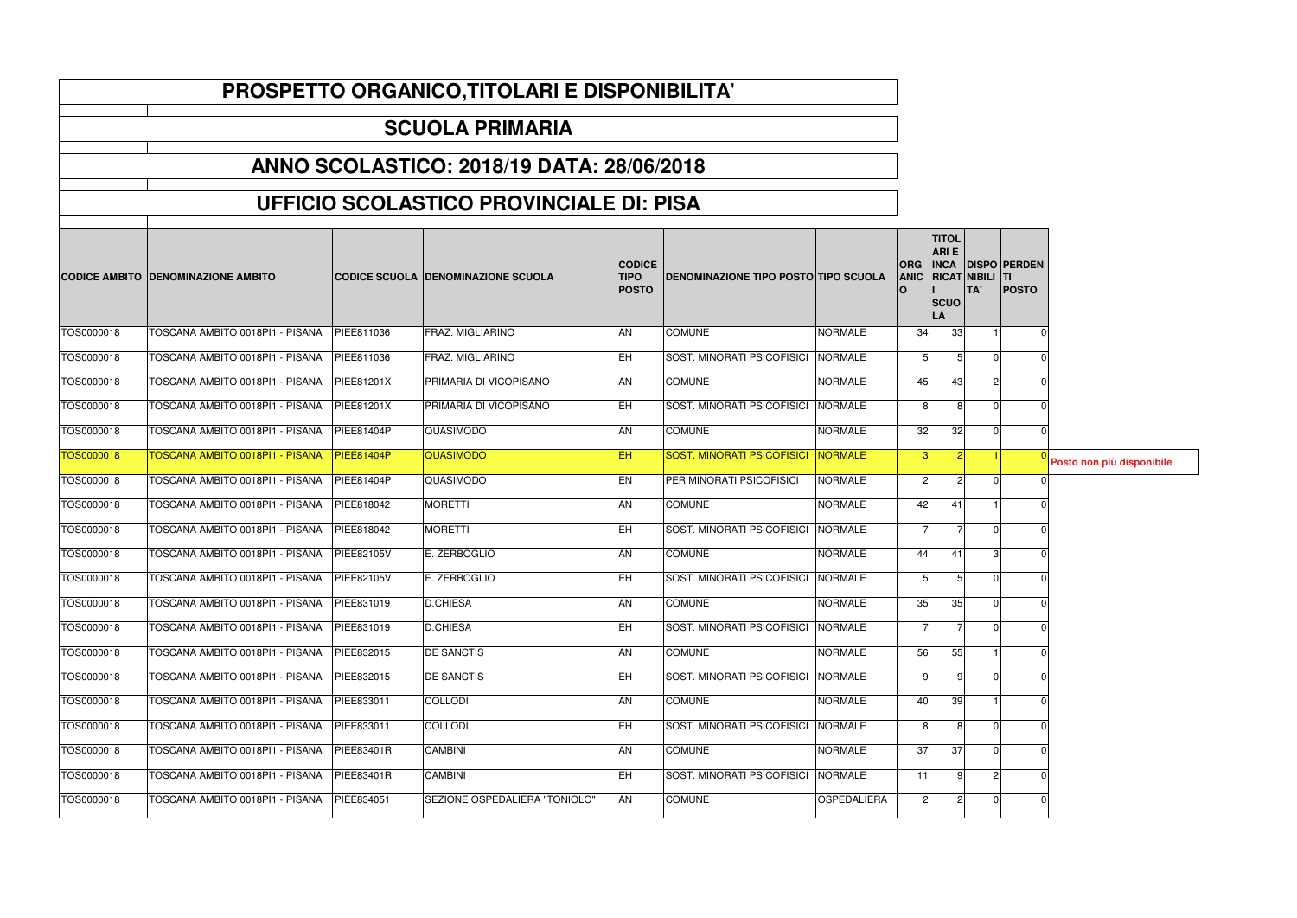|            | <b>CODICE AMBITO DENOMINAZIONE AMBITO</b> |                   | <b>CODICE SCUOLA IDENOMINAZIONE SCUOLA</b> | <b>CODICE</b><br><b>TIPO</b><br><b>POSTO</b> | <b>DENOMINAZIONE TIPO POSTO TIPO SCUOLA</b> |                    | <b>ORG</b><br><b>ANIC</b> | <b>TITOL</b><br><b>ARIE</b><br><b>INCA</b><br><b>RICAT NIBILI</b><br><b>SCUO</b><br>LA | TA'            | <b>DISPO PERDEN</b><br><b>ITI</b><br><b>POSTO</b> |                           |
|------------|-------------------------------------------|-------------------|--------------------------------------------|----------------------------------------------|---------------------------------------------|--------------------|---------------------------|----------------------------------------------------------------------------------------|----------------|---------------------------------------------------|---------------------------|
| TOS0000018 | TOSCANA AMBITO 0018PI1 - PISANA           | PIEE811036        | FRAZ. MIGLIARINO                           | AN                                           | <b>COMUNE</b>                               | <b>NORMALE</b>     | 34                        | 33                                                                                     |                |                                                   |                           |
| TOS0000018 | TOSCANA AMBITO 0018PI1 - PISANA           | PIEE811036        | FRAZ. MIGLIARINO                           | <b>IEH</b>                                   | SOST. MINORATI PSICOFISICI NORMALE          |                    | 5 <sup>1</sup>            |                                                                                        | $\Omega$       |                                                   |                           |
| TOS0000018 | TOSCANA AMBITO 0018PI1 - PISANA           | PIEE81201X        | PRIMARIA DI VICOPISANO                     | <b>AN</b>                                    | <b>COMUNE</b>                               | <b>NORMALE</b>     | 45                        | 43                                                                                     | 2 <sup>1</sup> |                                                   |                           |
| TOS0000018 | TOSCANA AMBITO 0018PI1 - PISANA           | <b>PIEE81201X</b> | PRIMARIA DI VICOPISANO                     | <b>EH</b>                                    | SOST. MINORATI PSICOFISICI NORMALE          |                    | 8                         |                                                                                        |                |                                                   |                           |
| TOS0000018 | TOSCANA AMBITO 0018PI1 - PISANA           | PIEE81404P        | QUASIMODO                                  | <b>AN</b>                                    | <b>COMUNE</b>                               | <b>NORMALE</b>     | 32                        | 32                                                                                     |                |                                                   |                           |
| TOS0000018 | <b>TOSCANA AMBITO 0018PI1 - PISANA</b>    | PIEE81404P        | <b>QUASIMODO</b>                           | <b>EH</b>                                    | SOST. MINORATI PSICOFISICI NORMALE          |                    | <u>3</u>                  |                                                                                        |                |                                                   | Posto non più disponibile |
| TOS0000018 | TOSCANA AMBITO 0018PI1 - PISANA           | PIEE81404P        | <b>QUASIMODO</b>                           | EN                                           | PER MINORATI PSICOFISICI                    | <b>NORMALE</b>     | $\overline{2}$            | $\overline{2}$                                                                         | $\Omega$       |                                                   |                           |
| TOS0000018 | TOSCANA AMBITO 0018PI1 - PISANA           | PIEE818042        | <b>MORETTI</b>                             | AN                                           | <b>COMUNE</b>                               | <b>NORMALE</b>     | 42                        | 41                                                                                     |                |                                                   |                           |
| TOS0000018 | TOSCANA AMBITO 0018PI1 - PISANA           | PIEE818042        | <b>MORETTI</b>                             | <b>EH</b>                                    | SOST. MINORATI PSICOFISICI                  | <b>NORMALE</b>     | $\overline{7}$            |                                                                                        | $\Omega$       |                                                   |                           |
| TOS0000018 | TOSCANA AMBITO 0018PI1 - PISANA           | PIEE82105V        | E. ZERBOGLIO                               | AN                                           | <b>COMUNE</b>                               | <b>NORMALE</b>     | 44                        | 41                                                                                     | 3 <sup>1</sup> |                                                   |                           |
| TOS0000018 | TOSCANA AMBITO 0018PI1 - PISANA           | PIEE82105V        | E. ZERBOGLIO                               | <b>EH</b>                                    | SOST. MINORATI PSICOFISICI NORMALE          |                    | 5 <sup>1</sup>            | 5                                                                                      | $\Omega$       |                                                   |                           |
| TOS0000018 | TOSCANA AMBITO 0018PI1 - PISANA           | PIEE831019        | <b>D.CHIESA</b>                            | AN                                           | <b>COMUNE</b>                               | <b>NORMALE</b>     | 35                        | 35                                                                                     |                |                                                   |                           |
| TOS0000018 | TOSCANA AMBITO 0018PI1 - PISANA           | PIEE831019        | <b>D.CHIESA</b>                            | <b>EH</b>                                    | SOST. MINORATI PSICOFISICI NORMALE          |                    | $\overline{7}$            |                                                                                        |                |                                                   |                           |
| TOS0000018 | TOSCANA AMBITO 0018PI1 - PISANA           | PIEE832015        | <b>DE SANCTIS</b>                          | AN                                           | <b>COMUNE</b>                               | <b>NORMALE</b>     | 56                        | 55                                                                                     |                |                                                   |                           |
| TOS0000018 | TOSCANA AMBITO 0018PI1 - PISANA           | PIEE832015        | <b>DE SANCTIS</b>                          | <b>EH</b>                                    | SOST. MINORATI PSICOFISICI                  | <b>NORMALE</b>     | $9 \mid$                  | q                                                                                      | ΩI             |                                                   |                           |
| TOS0000018 | TOSCANA AMBITO 0018PI1 - PISANA           | PIEE833011        | <b>COLLODI</b>                             | AN                                           | <b>COMUNE</b>                               | <b>NORMALE</b>     | 40                        | 39                                                                                     |                |                                                   |                           |
| TOS0000018 | TOSCANA AMBITO 0018PI1 - PISANA           | PIEE833011        | <b>COLLODI</b>                             | <b>IEH</b>                                   | SOST. MINORATI PSICOFISICI NORMALE          |                    | 8                         | 8                                                                                      |                |                                                   |                           |
| TOS0000018 | TOSCANA AMBITO 0018PI1 - PISANA           | PIEE83401R        | <b>CAMBINI</b>                             | <b>AN</b>                                    | <b>COMUNE</b>                               | <b>NORMALE</b>     | 37                        | 37                                                                                     |                |                                                   |                           |
| TOS0000018 | TOSCANA AMBITO 0018PI1 - PISANA           | PIEE83401R        | <b>CAMBINI</b>                             | EH                                           | SOST. MINORATI PSICOFISICI NORMALE          |                    | 11                        |                                                                                        |                |                                                   |                           |
| TOS0000018 | TOSCANA AMBITO 0018PI1 - PISANA           | PIEE834051        | SEZIONE OSPEDALIERA "TONIOLO"              | AN                                           | <b>COMUNE</b>                               | <b>OSPEDALIERA</b> |                           |                                                                                        |                |                                                   |                           |

## **PROSPETTO ORGANICO,TITOLARI E DISPONIBILITA'**

## **SCUOLA PRIMARIA**

## **ANNO SCOLASTICO: 2018/19 DATA: 28/06/2018**

## **UFFICIO SCOLASTICO PROVINCIALE DI: PISA**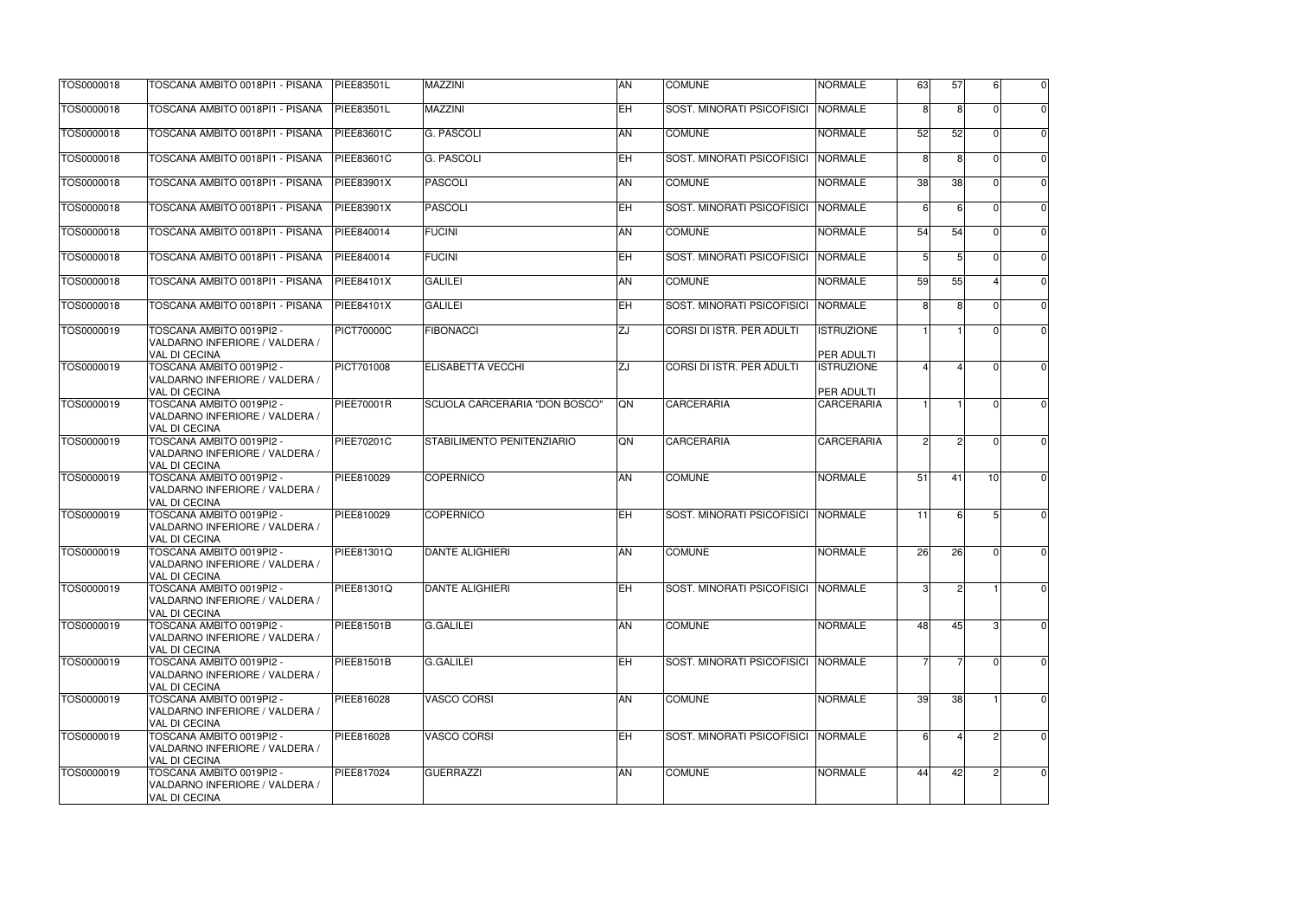| 57                      | 6                       | 0              |  |
|-------------------------|-------------------------|----------------|--|
| $\overline{8}$          | $\overline{0}$          | $\overline{0}$ |  |
| $\overline{52}$         | 0                       | $\overline{0}$ |  |
| $\overline{8}$          | $\overline{0}$          | $\overline{0}$ |  |
| 38                      | $\overline{0}$          | $\overline{0}$ |  |
| $\overline{6}$          | $\overline{0}$          | $\overline{0}$ |  |
| 54                      | $\overline{0}$          | $\overline{0}$ |  |
| 5                       | $\mathbf{0}$            | 0              |  |
| 55                      | $\overline{4}$          | 0              |  |
| $\overline{8}$          | $\overline{0}$          | $\overline{0}$ |  |
| $\overline{\mathbf{1}}$ | $\overline{0}$          | $\overline{0}$ |  |
| 4                       | $\overline{0}$          | $\overline{0}$ |  |
|                         |                         |                |  |
| $\overline{\mathbf{1}}$ | $\overline{0}$          | $\overline{0}$ |  |
| $\overline{c}$          | $\overline{0}$          | $\overline{0}$ |  |
|                         |                         |                |  |
| 41                      | $\overline{10}$         | 0              |  |
| $\overline{6}$          | 5                       | $\overline{0}$ |  |
|                         |                         |                |  |
| 26                      | $\mathbf{0}$            | $\mathbf{0}$   |  |
| $\overline{\mathbf{c}}$ | $\overline{\mathbf{1}}$ | 0              |  |
|                         |                         |                |  |
| 45                      | 3                       | 0              |  |
| $\overline{7}$          | $\mathbf{0}$            | $\mathbf{0}$   |  |
|                         |                         |                |  |
| 38                      | $\overline{1}$          | $\overline{0}$ |  |
| $\overline{4}$          | $\overline{c}$          | 0              |  |
|                         |                         |                |  |
| 42                      | $\overline{c}$          | 0              |  |
|                         |                         |                |  |

| TOS0000018 | TOSCANA AMBITO 0018PI1 - PISANA                                                    | <b>PIEE83501L</b> | <b>MAZZINI</b>                    | <b>AN</b>               | <b>COMUNE</b>                     | <b>NORMALE</b>                         | 63              | 57 | 6        | $\overline{0}$ |
|------------|------------------------------------------------------------------------------------|-------------------|-----------------------------------|-------------------------|-----------------------------------|----------------------------------------|-----------------|----|----------|----------------|
| TOS0000018 | TOSCANA AMBITO 0018PI1 - PISANA                                                    | PIEE83501L        | <b>MAZZINI</b>                    | $E$ H                   | SOST. MINORATI PSICOFISICI        | <b>NORMALE</b>                         | 8 <sup>1</sup>  | R  |          | $\overline{0}$ |
| TOS0000018 | TOSCANA AMBITO 0018PI1 - PISANA                                                    | PIEE83601C        | <b>G. PASCOLI</b>                 | AN                      | <b>COMUNE</b>                     | <b>NORMALE</b>                         | 52              | 52 |          | $\overline{0}$ |
| TOS0000018 | TOSCANA AMBITO 0018PI1 - PISANA                                                    | PIEE83601C        | G. PASCOLI                        | $E$ H                   | SOST. MINORATI PSICOFISICI        | <b>NORMALE</b>                         | 8 <sup>1</sup>  | 8  |          | $\overline{0}$ |
| TOS0000018 | TOSCANA AMBITO 0018PI1 - PISANA                                                    | PIEE83901X        | <b>PASCOLI</b>                    | $\overline{AN}$         | <b>COMUNE</b>                     | <b>NORMALE</b>                         | 38              | 38 |          | $\overline{0}$ |
| TOS0000018 | TOSCANA AMBITO 0018PI1 - PISANA                                                    | PIEE83901X        | PASCOLI                           | $E$ H                   | SOST. MINORATI PSICOFISICI        | <b>NORMALE</b>                         | -61             | հ  |          | $\overline{0}$ |
| TOS0000018 | TOSCANA AMBITO 0018PI1 - PISANA                                                    | PIEE840014        | <b>FUCINI</b>                     | AN                      | <b>COMUNE</b>                     | <b>NORMALE</b>                         | 54              | 54 |          | $\overline{0}$ |
| TOS0000018 | TOSCANA AMBITO 0018PI1 - PISANA                                                    | PIEE840014        | <b>FUCINI</b>                     | EH                      | SOST. MINORATI PSICOFISICI        | <b>NORMALE</b>                         | 5 <sup>1</sup>  | 5  |          | $\overline{0}$ |
| TOS0000018 | TOSCANA AMBITO 0018PI1 - PISANA                                                    | <b>PIEE84101X</b> | <b>GALILEI</b>                    | <b>AN</b>               | <b>COMUNE</b>                     | <b>NORMALE</b>                         | 59              | 55 |          | $\overline{0}$ |
| TOS0000018 | TOSCANA AMBITO 0018PI1 - PISANA                                                    | <b>PIEE84101X</b> | <b>GALILEI</b>                    | ΕH                      | SOST. MINORATI PSICOFISICI        | <b>NORMALE</b>                         | 8 <sup>1</sup>  | R  |          | $\overline{0}$ |
| TOS0000019 | TOSCANA AMBITO 0019PI2 -<br>VALDARNO INFERIORE / VALDERA /<br><b>VAL DI CECINA</b> | <b>PICT70000C</b> | FIBONACCI                         | ZJ                      | CORSI DI ISTR. PER ADULTI         | <b>ISTRUZIONE</b><br><b>PER ADULTI</b> |                 |    |          | $\overline{0}$ |
| TOS0000019 | TOSCANA AMBITO 0019PI2 -<br>VALDARNO INFERIORE / VALDERA /<br><b>VAL DI CECINA</b> | PICT701008        | <b>ELISABETTA VECCHI</b>          | ΖJ                      | <b>CORSI DI ISTR. PER ADULTI</b>  | <b>ISTRUZIONE</b><br>PER ADULTI        |                 |    |          | $\overline{0}$ |
| TOS0000019 | TOSCANA AMBITO 0019PI2 -<br>VALDARNO INFERIORE / VALDERA /<br><b>VAL DI CECINA</b> | <b>PIEE70001R</b> | SCUOLA CARCERARIA "DON BOSCO"     | <b>ON</b>               | <b>CARCERARIA</b>                 | <b>CARCERARIA</b>                      |                 |    | $\Omega$ | $\Omega$       |
| TOS0000019 | TOSCANA AMBITO 0019PI2 -<br>VALDARNO INFERIORE / VALDERA /<br><b>VAL DI CECINA</b> | PIEE70201C        | <b>STABILIMENTO PENITENZIARIO</b> | QN                      | <b>CARCERARIA</b>                 | <b>CARCERARIA</b>                      | $\overline{2}$  |    | - 0      | $\overline{0}$ |
| TOS0000019 | TOSCANA AMBITO 0019PI2 -<br>VALDARNO INFERIORE / VALDERA /<br><b>VAL DI CECINA</b> | PIEE810029        | <b>COPERNICO</b>                  | AN                      | <b>COMUNE</b>                     | <b>NORMALE</b>                         | 51              | 41 | 10       | $\overline{0}$ |
| TOS0000019 | TOSCANA AMBITO 0019PI2 -<br>VALDARNO INFERIORE / VALDERA /<br><b>VAL DI CECINA</b> | PIEE810029        | COPERNICO                         | ΕH                      | SOST. MINORATI PSICOFISICI        | <b>NORMALE</b>                         | $\overline{11}$ | 6  | 5        | $\overline{0}$ |
| TOS0000019 | TOSCANA AMBITO 0019PI2 -<br>VALDARNO INFERIORE / VALDERA /<br><b>VAL DI CECINA</b> | PIEE81301Q        | <b>DANTE ALIGHIERI</b>            | AN                      | <b>COMUNE</b>                     | <b>NORMALE</b>                         | 26              | 26 | $\Omega$ | $\overline{0}$ |
| TOS0000019 | TOSCANA AMBITO 0019PI2 -<br>VALDARNO INFERIORE / VALDERA /<br><b>VAL DI CECINA</b> | PIEE81301Q        | <b>DANTE ALIGHIERI</b>            | EH                      | SOST. MINORATI PSICOFISICI        | <b>NORMALE</b>                         |                 |    |          | $\overline{0}$ |
| TOS0000019 | TOSCANA AMBITO 0019PI2 -<br>VALDARNO INFERIORE / VALDERA /<br><b>VAL DI CECINA</b> | PIEE81501B        | <b>G.GALILEI</b>                  | AN                      | <b>COMUNE</b>                     | <b>NORMALE</b>                         | 48              | 45 | 3        | $\overline{0}$ |
| TOS0000019 | TOSCANA AMBITO 0019PI2 -<br>VALDARNO INFERIORE / VALDERA /<br><b>VAL DI CECINA</b> | PIEE81501B        | <b>G.GALILEI</b>                  | <b>EH</b>               | <b>SOST. MINORATI PSICOFISICI</b> | <b>NORMALE</b>                         | 7               | 7  | $\Omega$ | $\overline{0}$ |
| TOS0000019 | TOSCANA AMBITO 0019PI2 -<br>VALDARNO INFERIORE / VALDERA /<br><b>VAL DI CECINA</b> | PIEE816028        | <b>VASCO CORSI</b>                | <b>AN</b>               | <b>COMUNE</b>                     | <b>NORMALE</b>                         | 39              | 38 |          | 0              |
| TOS0000019 | TOSCANA AMBITO 0019PI2 -<br>VALDARNO INFERIORE / VALDERA /<br><b>VAL DI CECINA</b> | PIEE816028        | <b>VASCO CORSI</b>                | $\overline{\mathsf{H}}$ | SOST. MINORATI PSICOFISICI        | <b>NORMALE</b>                         | 6               |    | 2        | $\overline{0}$ |
| TOS0000019 | TOSCANA AMBITO 0019PI2 -<br>VALDARNO INFERIORE / VALDERA /<br><b>VAL DI CECINA</b> | PIEE817024        | GUERRAZZI                         | AN                      | <b>COMUNE</b>                     | <b>NORMALE</b>                         | 44              | 42 | 2        | $\overline{0}$ |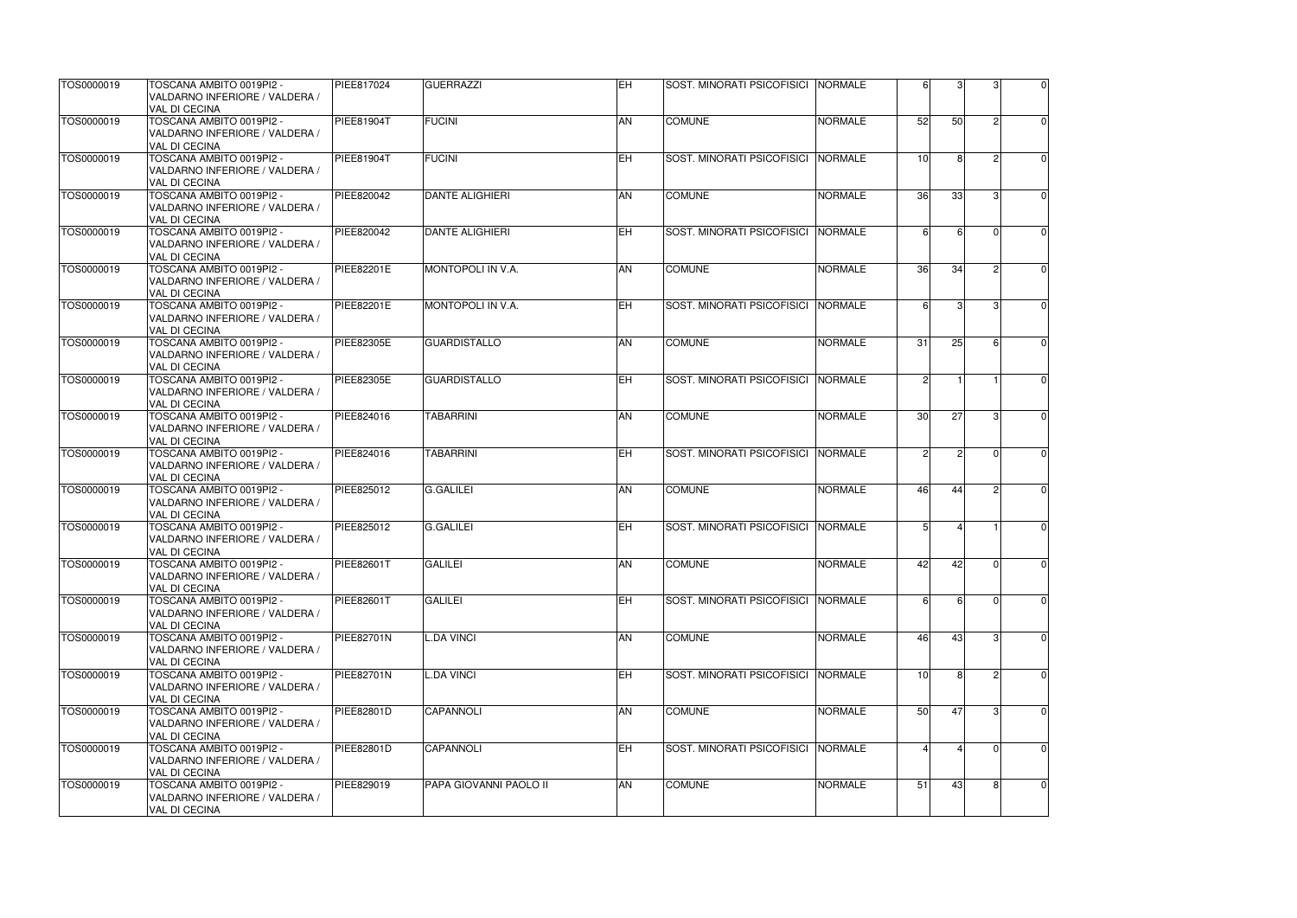| TOS0000019 | TOSCANA AMBITO 0019PI2 -                                   | PIEE817024        | <b>GUERRAZZI</b>       | <b>IEH</b>     | SOST. MINORATI PSICOFISICI  NORMALE |                | 6               | 3  | 3             | $\overline{0}$ |
|------------|------------------------------------------------------------|-------------------|------------------------|----------------|-------------------------------------|----------------|-----------------|----|---------------|----------------|
|            | VALDARNO INFERIORE / VALDERA /<br><b>VAL DI CECINA</b>     |                   |                        |                |                                     |                |                 |    |               |                |
| TOS0000019 | TOSCANA AMBITO 0019PI2 -                                   | <b>PIEE81904T</b> | <b>FUCINI</b>          | AN             | <b>COMUNE</b>                       | <b>NORMALE</b> | 52              | 50 | 2             | $\overline{0}$ |
|            | VALDARNO INFERIORE / VALDERA /<br><b>VAL DI CECINA</b>     |                   |                        |                |                                     |                |                 |    |               |                |
| TOS0000019 | TOSCANA AMBITO 0019PI2 -                                   | <b>PIEE81904T</b> | <b>FUCINI</b>          | $E$ H          | <b>SOST. MINORATI PSICOFISICI</b>   | <b>NORMALE</b> | 10 <sup>1</sup> | 8  |               | $\Omega$       |
|            | VALDARNO INFERIORE / VALDERA /<br><b>VAL DI CECINA</b>     |                   |                        |                |                                     |                |                 |    |               |                |
| TOS0000019 | TOSCANA AMBITO 0019PI2 -                                   | PIEE820042        | DANTE ALIGHIERI        | AN             | <b>COMUNE</b>                       | <b>NORMALE</b> | 36              | 33 | 3             | $\overline{0}$ |
|            | VALDARNO INFERIORE / VALDERA /<br><b>VAL DI CECINA</b>     |                   |                        |                |                                     |                |                 |    |               |                |
| TOS0000019 | TOSCANA AMBITO 0019PI2 -                                   | PIEE820042        | DANTE ALIGHIERI        | ΕH             | <b>SOST. MINORATI PSICOFISICI</b>   | <b>NORMALE</b> | 6 <sup>1</sup>  |    |               | $\overline{0}$ |
|            | VALDARNO INFERIORE / VALDERA /<br><b>VAL DI CECINA</b>     |                   |                        |                |                                     |                |                 |    |               |                |
| TOS0000019 | TOSCANA AMBITO 0019PI2 -                                   | PIEE82201E        | MONTOPOLI IN V.A.      | AN             | <b>COMUNE</b>                       | <b>NORMALE</b> | 36              | 34 | $\mathcal{P}$ | $\overline{0}$ |
|            | VALDARNO INFERIORE / VALDERA /<br><b>VAL DI CECINA</b>     |                   |                        |                |                                     |                |                 |    |               |                |
| TOS0000019 | TOSCANA AMBITO 0019PI2 -                                   | <b>PIEE82201E</b> | MONTOPOLI IN V.A.      | ΕH             | SOST. MINORATI PSICOFISICI          | <b>NORMALE</b> | 6 <sup>1</sup>  | 3  | 3             | $\overline{0}$ |
|            | VALDARNO INFERIORE / VALDERA /<br><b>VAL DI CECINA</b>     |                   |                        |                |                                     |                |                 |    |               |                |
| TOS0000019 | TOSCANA AMBITO 0019PI2 -                                   | <b>PIEE82305E</b> | <b>GUARDISTALLO</b>    | AN             | <b>COMUNE</b>                       | <b>NORMALE</b> | 31              | 25 | -6            | $\overline{0}$ |
|            | VALDARNO INFERIORE / VALDERA /<br><b>VAL DI CECINA</b>     |                   |                        |                |                                     |                |                 |    |               |                |
| TOS0000019 | TOSCANA AMBITO 0019PI2 -                                   | PIEE82305E        | <b>GUARDISTALLO</b>    | $\overline{H}$ | SOST. MINORATI PSICOFISICI          | <b>NORMALE</b> | $\overline{2}$  |    |               | $\overline{0}$ |
|            | VALDARNO INFERIORE / VALDERA /<br><b>VAL DI CECINA</b>     |                   |                        |                |                                     |                |                 |    |               |                |
| TOS0000019 | TOSCANA AMBITO 0019PI2 -                                   | PIEE824016        | <b>TABARRINI</b>       | <b>AN</b>      | <b>COMUNE</b>                       | <b>NORMALE</b> | 30 <sup>1</sup> | 27 | 3             | $\overline{0}$ |
|            | VALDARNO INFERIORE / VALDERA /<br><b>VAL DI CECINA</b>     |                   |                        |                |                                     |                |                 |    |               |                |
| TOS0000019 | TOSCANA AMBITO 0019PI2 -                                   | PIEE824016        | <b>TABARRINI</b>       | EH             | <b>SOST. MINORATI PSICOFISICI</b>   | <b>NORMALE</b> | $\overline{2}$  | 2  | - 0           | $\overline{0}$ |
|            | VALDARNO INFERIORE / VALDERA /<br><b>VAL DI CECINA</b>     |                   |                        |                |                                     |                |                 |    |               |                |
| TOS0000019 | TOSCANA AMBITO 0019PI2 -                                   | PIEE825012        | G.GALILEI              | <b>AN</b>      | <b>COMUNE</b>                       | <b>NORMALE</b> | 46              | 44 |               | $\Omega$       |
|            | VALDARNO INFERIORE / VALDERA /<br><b>VAL DI CECINA</b>     |                   |                        |                |                                     |                |                 |    |               |                |
| TOS0000019 | TOSCANA AMBITO 0019PI2 -                                   | PIEE825012        | <b>G.GALILEI</b>       | <b>EH</b>      | <b>SOST. MINORATI PSICOFISICI</b>   | <b>NORMALE</b> | 5 <sup>1</sup>  |    |               | $\overline{0}$ |
|            | VALDARNO INFERIORE / VALDERA /                             |                   |                        |                |                                     |                |                 |    |               |                |
| TOS0000019 | <b>VAL DI CECINA</b><br>TOSCANA AMBITO 0019PI2 -           | PIEE82601T        | <b>GALILEI</b>         | AN             | <b>COMUNE</b>                       | <b>NORMALE</b> | 42              | 42 | $\Omega$      | $\Omega$       |
|            | VALDARNO INFERIORE / VALDERA /                             |                   |                        |                |                                     |                |                 |    |               |                |
|            | VAL DI CECINA                                              |                   |                        |                |                                     |                |                 |    |               |                |
| TOS0000019 | TOSCANA AMBITO 0019PI2 -                                   | <b>PIEE82601T</b> | <b>GALILEI</b>         | ΕH             | SOST. MINORATI PSICOFISICI          | NORMALE        | 6I              | 6  | $\Omega$      | $\overline{0}$ |
|            | VALDARNO INFERIORE / VALDERA /                             |                   |                        |                |                                     |                |                 |    |               |                |
|            | <b>VAL DI CECINA</b>                                       |                   |                        |                |                                     |                |                 |    |               |                |
| TOS0000019 | TOSCANA AMBITO 0019PI2 -<br>VALDARNO INFERIORE / VALDERA / | PIEE82701N        | <b>L.DA VINCI</b>      | <b>AN</b>      | <b>COMUNE</b>                       | <b>NORMALE</b> | 46              | 43 | 3             | $\overline{0}$ |
|            | <b>VAL DI CECINA</b>                                       |                   |                        |                |                                     |                |                 |    |               |                |
| TOS0000019 | TOSCANA AMBITO 0019PI2 -                                   | <b>PIEE82701N</b> | <b>L.DA VINCI</b>      | EH             | <b>SOST. MINORATI PSICOFISICI</b>   | <b>NORMALE</b> | 10              | 8  |               | $\overline{0}$ |
|            | VALDARNO INFERIORE / VALDERA /<br><b>VAL DI CECINA</b>     |                   |                        |                |                                     |                |                 |    |               |                |
| TOS0000019 | TOSCANA AMBITO 0019PI2 -                                   | <b>PIEE82801D</b> | CAPANNOLI              | AN             | <b>COMUNE</b>                       | <b>NORMALE</b> | 50              | 47 | 3             | $\overline{0}$ |
|            | VALDARNO INFERIORE / VALDERA /                             |                   |                        |                |                                     |                |                 |    |               |                |
| TOS0000019 | <b>VAL DI CECINA</b><br>TOSCANA AMBITO 0019PI2 -           | PIEE82801D        | CAPANNOLI              | ΕH             | SOST. MINORATI PSICOFISICI          | <b>NORMALE</b> |                 |    | $\Omega$      | $\overline{0}$ |
|            | VALDARNO INFERIORE / VALDERA /                             |                   |                        |                |                                     |                |                 |    |               |                |
|            | <b>VAL DI CECINA</b>                                       |                   |                        |                |                                     |                |                 |    |               |                |
| TOS0000019 | TOSCANA AMBITO 0019PI2 -                                   | PIEE829019        | PAPA GIOVANNI PAOLO II | <b>AN</b>      | <b>COMUNE</b>                       | <b>NORMALE</b> | 51              | 43 | 8             | $\overline{0}$ |
|            | VALDARNO INFERIORE / VALDERA /                             |                   |                        |                |                                     |                |                 |    |               |                |
|            | VAL DI CECINA                                              |                   |                        |                |                                     |                |                 |    |               |                |

| $\overline{3}$ | $\overline{3}$          | $\overline{0}$ |
|----------------|-------------------------|----------------|
| $\overline{0}$ | $\overline{c}$          | 0              |
| $\overline{8}$ | $\overline{c}$          | 0              |
| $\overline{3}$ | $\overline{3}$          | $\overline{0}$ |
| 6              | $\overline{0}$          | $\mathbf{0}$   |
| $\overline{4}$ | $\overline{\mathbf{c}}$ | 0              |
| $\overline{3}$ | $\overline{3}$          | $\overline{0}$ |
| $\overline{5}$ | $\overline{6}$          | $\overline{0}$ |
| $\overline{1}$ | 1                       | 0              |
| 7              | $\overline{3}$          | $\overline{0}$ |
| $\overline{c}$ | $\overline{0}$          | $\overline{0}$ |
| 4              | $\overline{2}$          | $\overline{0}$ |
| $\overline{4}$ | 1                       | 0              |
| $\overline{2}$ | 0                       | $\mathbf{0}$   |
| $\overline{6}$ | 0                       |                |
| $\overline{3}$ | $\overline{3}$          | ſ              |
| 8              | $\overline{c}$          | 0              |
| 7              | $\overline{3}$          | $\overline{0}$ |
| 4              | $\overline{0}$          | (              |
| 3              | $\overline{8}$          |                |
|                |                         |                |